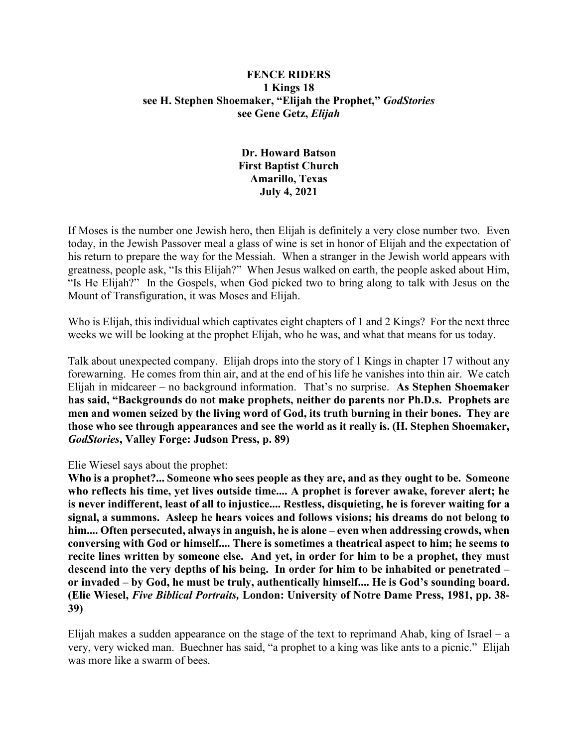## **FENCE RIDERS 1 Kings 18 see H. Stephen Shoemaker, "Elijah the Prophet,"** *GodStories* **see Gene Getz,** *Elijah*

## **Dr. Howard Batson First Baptist Church Amarillo, Texas July 4, 2021**

If Moses is the number one Jewish hero, then Elijah is definitely a very close number two. Even today, in the Jewish Passover meal a glass of wine is set in honor of Elijah and the expectation of his return to prepare the way for the Messiah. When a stranger in the Jewish world appears with greatness, people ask, "Is this Elijah?" When Jesus walked on earth, the people asked about Him, "Is He Elijah?" In the Gospels, when God picked two to bring along to talk with Jesus on the Mount of Transfiguration, it was Moses and Elijah.

Who is Elijah, this individual which captivates eight chapters of 1 and 2 Kings? For the next three weeks we will be looking at the prophet Elijah, who he was, and what that means for us today.

Talk about unexpected company. Elijah drops into the story of 1 Kings in chapter 17 without any forewarning. He comes from thin air, and at the end of his life he vanishes into thin air. We catch Elijah in midcareer – no background information. That's no surprise. **As Stephen Shoemaker has said, "Backgrounds do not make prophets, neither do parents nor Ph.D.s. Prophets are men and women seized by the living word of God, its truth burning in their bones. They are those who see through appearances and see the world as it really is. (H. Stephen Shoemaker,**  *GodStories***, Valley Forge: Judson Press, p. 89)**

Elie Wiesel says about the prophet:

**Who is a prophet?... Someone who sees people as they are, and as they ought to be. Someone who reflects his time, yet lives outside time.... A prophet is forever awake, forever alert; he is never indifferent, least of all to injustice.... Restless, disquieting, he is forever waiting for a signal, a summons. Asleep he hears voices and follows visions; his dreams do not belong to him.... Often persecuted, always in anguish, he is alone – even when addressing crowds, when conversing with God or himself.... There is sometimes a theatrical aspect to him; he seems to recite lines written by someone else. And yet, in order for him to be a prophet, they must descend into the very depths of his being. In order for him to be inhabited or penetrated – or invaded – by God, he must be truly, authentically himself.... He is God's sounding board. (Elie Wiesel,** *Five Biblical Portraits,* **London: University of Notre Dame Press, 1981, pp. 38- 39)**

Elijah makes a sudden appearance on the stage of the text to reprimand Ahab, king of Israel – a very, very wicked man. Buechner has said, "a prophet to a king was like ants to a picnic." Elijah was more like a swarm of bees.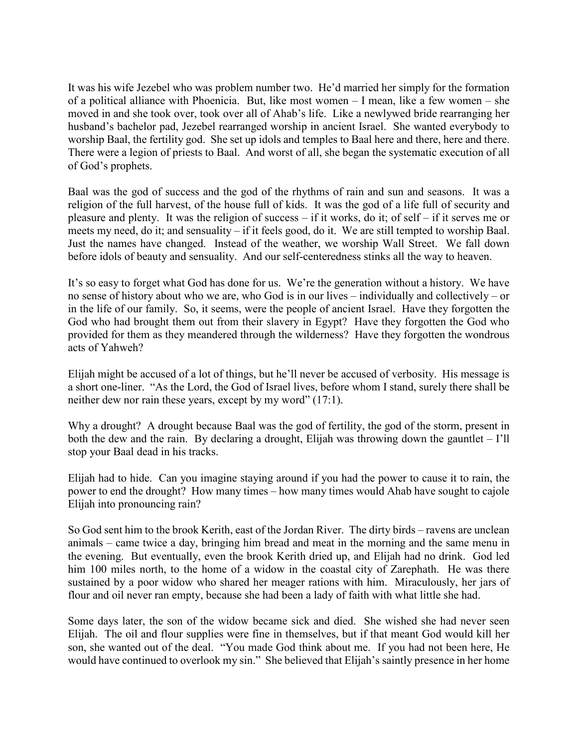It was his wife Jezebel who was problem number two. He'd married her simply for the formation of a political alliance with Phoenicia. But, like most women – I mean, like a few women – she moved in and she took over, took over all of Ahab's life. Like a newlywed bride rearranging her husband's bachelor pad, Jezebel rearranged worship in ancient Israel. She wanted everybody to worship Baal, the fertility god. She set up idols and temples to Baal here and there, here and there. There were a legion of priests to Baal. And worst of all, she began the systematic execution of all of God's prophets.

Baal was the god of success and the god of the rhythms of rain and sun and seasons. It was a religion of the full harvest, of the house full of kids. It was the god of a life full of security and pleasure and plenty. It was the religion of success – if it works, do it; of self – if it serves me or meets my need, do it; and sensuality – if it feels good, do it. We are still tempted to worship Baal. Just the names have changed. Instead of the weather, we worship Wall Street. We fall down before idols of beauty and sensuality. And our self-centeredness stinks all the way to heaven.

It's so easy to forget what God has done for us. We're the generation without a history. We have no sense of history about who we are, who God is in our lives – individually and collectively – or in the life of our family. So, it seems, were the people of ancient Israel. Have they forgotten the God who had brought them out from their slavery in Egypt? Have they forgotten the God who provided for them as they meandered through the wilderness? Have they forgotten the wondrous acts of Yahweh?

Elijah might be accused of a lot of things, but he'll never be accused of verbosity. His message is a short one-liner. "As the Lord, the God of Israel lives, before whom I stand, surely there shall be neither dew nor rain these years, except by my word" (17:1).

Why a drought? A drought because Baal was the god of fertility, the god of the storm, present in both the dew and the rain. By declaring a drought, Elijah was throwing down the gauntlet – I'll stop your Baal dead in his tracks.

Elijah had to hide. Can you imagine staying around if you had the power to cause it to rain, the power to end the drought? How many times – how many times would Ahab have sought to cajole Elijah into pronouncing rain?

So God sent him to the brook Kerith, east of the Jordan River. The dirty birds – ravens are unclean animals – came twice a day, bringing him bread and meat in the morning and the same menu in the evening. But eventually, even the brook Kerith dried up, and Elijah had no drink. God led him 100 miles north, to the home of a widow in the coastal city of Zarephath. He was there sustained by a poor widow who shared her meager rations with him. Miraculously, her jars of flour and oil never ran empty, because she had been a lady of faith with what little she had.

Some days later, the son of the widow became sick and died. She wished she had never seen Elijah. The oil and flour supplies were fine in themselves, but if that meant God would kill her son, she wanted out of the deal. "You made God think about me. If you had not been here, He would have continued to overlook my sin." She believed that Elijah's saintly presence in her home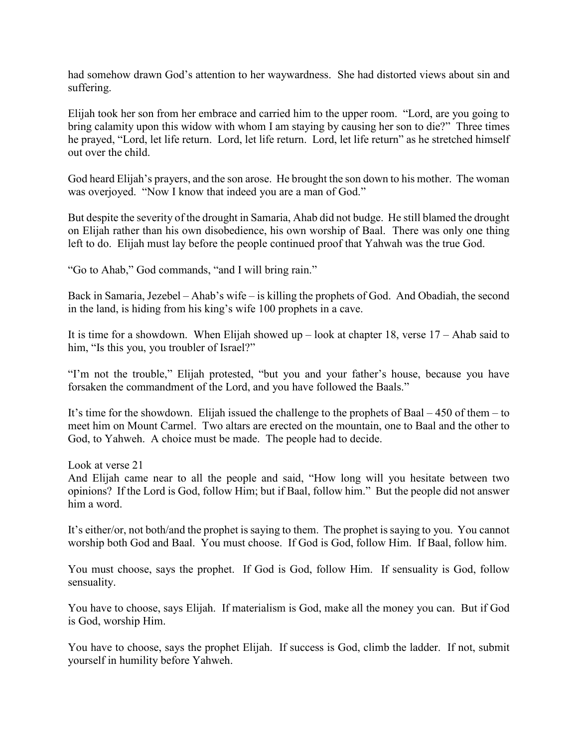had somehow drawn God's attention to her waywardness. She had distorted views about sin and suffering.

Elijah took her son from her embrace and carried him to the upper room. "Lord, are you going to bring calamity upon this widow with whom I am staying by causing her son to die?" Three times he prayed, "Lord, let life return. Lord, let life return. Lord, let life return" as he stretched himself out over the child.

God heard Elijah's prayers, and the son arose. He brought the son down to his mother. The woman was overjoyed. "Now I know that indeed you are a man of God."

But despite the severity of the drought in Samaria, Ahab did not budge. He still blamed the drought on Elijah rather than his own disobedience, his own worship of Baal. There was only one thing left to do. Elijah must lay before the people continued proof that Yahwah was the true God.

"Go to Ahab," God commands, "and I will bring rain."

Back in Samaria, Jezebel – Ahab's wife – is killing the prophets of God. And Obadiah, the second in the land, is hiding from his king's wife 100 prophets in a cave.

It is time for a showdown. When Elijah showed up  $-$  look at chapter 18, verse 17 – Ahab said to him, "Is this you, you troubler of Israel?"

"I'm not the trouble," Elijah protested, "but you and your father's house, because you have forsaken the commandment of the Lord, and you have followed the Baals."

It's time for the showdown. Elijah issued the challenge to the prophets of Baal – 450 of them – to meet him on Mount Carmel. Two altars are erected on the mountain, one to Baal and the other to God, to Yahweh. A choice must be made. The people had to decide.

Look at verse 21

And Elijah came near to all the people and said, "How long will you hesitate between two opinions? If the Lord is God, follow Him; but if Baal, follow him." But the people did not answer him a word.

It's either/or, not both/and the prophet is saying to them. The prophet is saying to you. You cannot worship both God and Baal. You must choose. If God is God, follow Him. If Baal, follow him.

You must choose, says the prophet. If God is God, follow Him. If sensuality is God, follow sensuality.

You have to choose, says Elijah. If materialism is God, make all the money you can. But if God is God, worship Him.

You have to choose, says the prophet Elijah. If success is God, climb the ladder. If not, submit yourself in humility before Yahweh.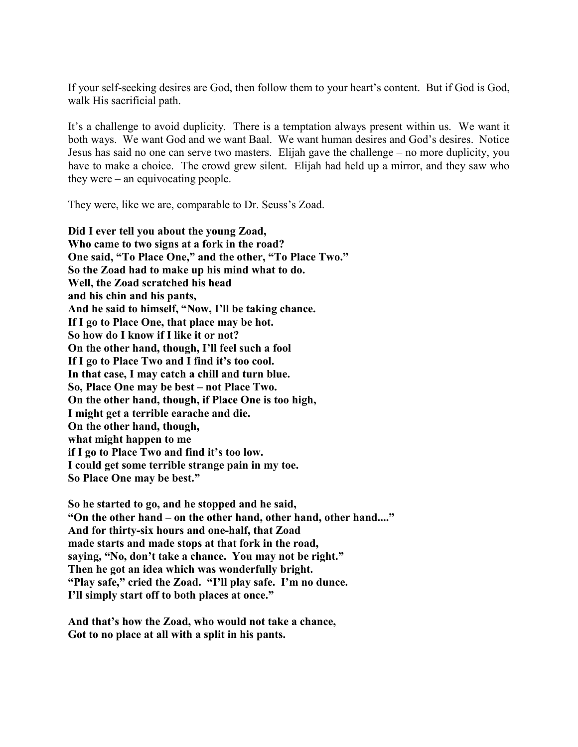If your self-seeking desires are God, then follow them to your heart's content. But if God is God, walk His sacrificial path.

It's a challenge to avoid duplicity. There is a temptation always present within us. We want it both ways. We want God and we want Baal. We want human desires and God's desires. Notice Jesus has said no one can serve two masters. Elijah gave the challenge – no more duplicity, you have to make a choice. The crowd grew silent. Elijah had held up a mirror, and they saw who they were – an equivocating people.

They were, like we are, comparable to Dr. Seuss's Zoad.

**Did I ever tell you about the young Zoad, Who came to two signs at a fork in the road? One said, "To Place One," and the other, "To Place Two." So the Zoad had to make up his mind what to do. Well, the Zoad scratched his head and his chin and his pants, And he said to himself, "Now, I'll be taking chance. If I go to Place One, that place may be hot. So how do I know if I like it or not? On the other hand, though, I'll feel such a fool If I go to Place Two and I find it's too cool. In that case, I may catch a chill and turn blue. So, Place One may be best – not Place Two. On the other hand, though, if Place One is too high, I might get a terrible earache and die. On the other hand, though, what might happen to me if I go to Place Two and find it's too low. I could get some terrible strange pain in my toe. So Place One may be best."**

**So he started to go, and he stopped and he said, "On the other hand – on the other hand, other hand, other hand...." And for thirty-six hours and one-half, that Zoad made starts and made stops at that fork in the road, saying, "No, don't take a chance. You may not be right." Then he got an idea which was wonderfully bright. "Play safe," cried the Zoad. "I'll play safe. I'm no dunce. I'll simply start off to both places at once."**

**And that's how the Zoad, who would not take a chance, Got to no place at all with a split in his pants.**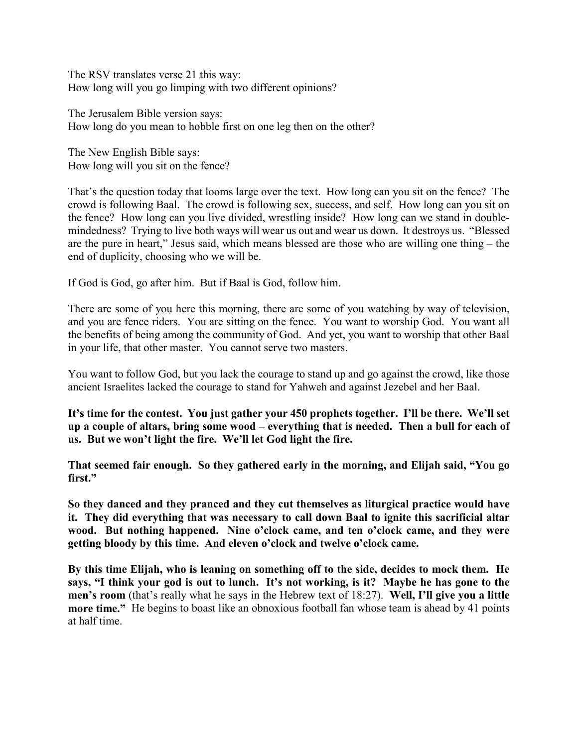The RSV translates verse 21 this way: How long will you go limping with two different opinions?

The Jerusalem Bible version says: How long do you mean to hobble first on one leg then on the other?

The New English Bible says: How long will you sit on the fence?

That's the question today that looms large over the text. How long can you sit on the fence? The crowd is following Baal. The crowd is following sex, success, and self. How long can you sit on the fence? How long can you live divided, wrestling inside? How long can we stand in doublemindedness? Trying to live both ways will wear us out and wear us down. It destroys us. "Blessed are the pure in heart," Jesus said, which means blessed are those who are willing one thing – the end of duplicity, choosing who we will be.

If God is God, go after him. But if Baal is God, follow him.

There are some of you here this morning, there are some of you watching by way of television, and you are fence riders. You are sitting on the fence. You want to worship God. You want all the benefits of being among the community of God. And yet, you want to worship that other Baal in your life, that other master. You cannot serve two masters.

You want to follow God, but you lack the courage to stand up and go against the crowd, like those ancient Israelites lacked the courage to stand for Yahweh and against Jezebel and her Baal.

**It's time for the contest. You just gather your 450 prophets together. I'll be there. We'll set up a couple of altars, bring some wood – everything that is needed. Then a bull for each of us. But we won't light the fire. We'll let God light the fire.**

**That seemed fair enough. So they gathered early in the morning, and Elijah said, "You go first."**

**So they danced and they pranced and they cut themselves as liturgical practice would have it. They did everything that was necessary to call down Baal to ignite this sacrificial altar wood. But nothing happened. Nine o'clock came, and ten o'clock came, and they were getting bloody by this time. And eleven o'clock and twelve o'clock came.**

**By this time Elijah, who is leaning on something off to the side, decides to mock them. He says, "I think your god is out to lunch. It's not working, is it? Maybe he has gone to the men's room** (that's really what he says in the Hebrew text of 18:27). **Well, I'll give you a little more time."** He begins to boast like an obnoxious football fan whose team is ahead by 41 points at half time.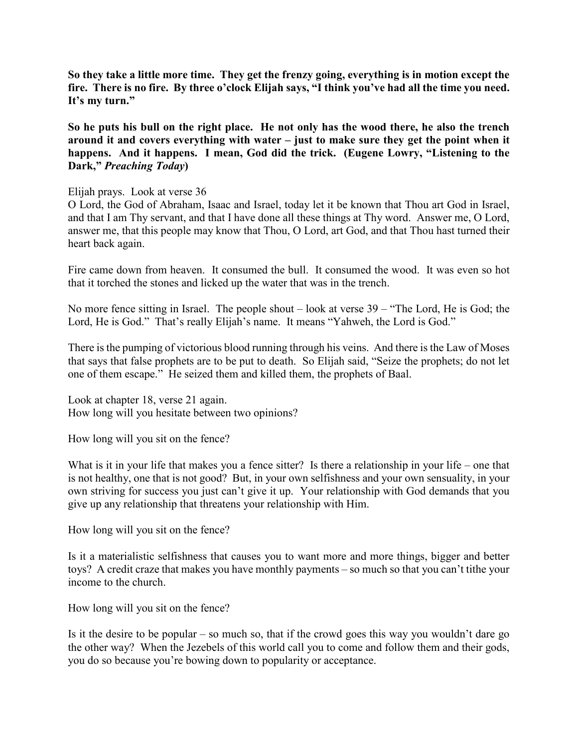**So they take a little more time. They get the frenzy going, everything is in motion except the fire. There is no fire. By three o'clock Elijah says, "I think you've had all the time you need. It's my turn."**

**So he puts his bull on the right place. He not only has the wood there, he also the trench around it and covers everything with water – just to make sure they get the point when it happens. And it happens. I mean, God did the trick. (Eugene Lowry, "Listening to the Dark,"** *Preaching Today***)**

## Elijah prays. Look at verse 36

O Lord, the God of Abraham, Isaac and Israel, today let it be known that Thou art God in Israel, and that I am Thy servant, and that I have done all these things at Thy word. Answer me, O Lord, answer me, that this people may know that Thou, O Lord, art God, and that Thou hast turned their heart back again.

Fire came down from heaven. It consumed the bull. It consumed the wood. It was even so hot that it torched the stones and licked up the water that was in the trench.

No more fence sitting in Israel. The people shout – look at verse 39 – "The Lord, He is God; the Lord, He is God." That's really Elijah's name. It means "Yahweh, the Lord is God."

There is the pumping of victorious blood running through his veins. And there is the Law of Moses that says that false prophets are to be put to death. So Elijah said, "Seize the prophets; do not let one of them escape." He seized them and killed them, the prophets of Baal.

Look at chapter 18, verse 21 again. How long will you hesitate between two opinions?

How long will you sit on the fence?

What is it in your life that makes you a fence sitter? Is there a relationship in your life – one that is not healthy, one that is not good? But, in your own selfishness and your own sensuality, in your own striving for success you just can't give it up. Your relationship with God demands that you give up any relationship that threatens your relationship with Him.

How long will you sit on the fence?

Is it a materialistic selfishness that causes you to want more and more things, bigger and better toys? A credit craze that makes you have monthly payments – so much so that you can't tithe your income to the church.

How long will you sit on the fence?

Is it the desire to be popular – so much so, that if the crowd goes this way you wouldn't dare go the other way? When the Jezebels of this world call you to come and follow them and their gods, you do so because you're bowing down to popularity or acceptance.